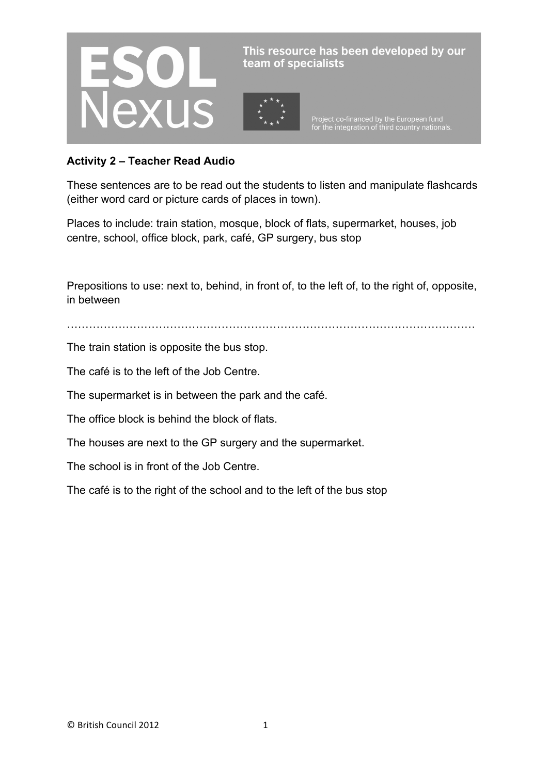

This resource has been developed by our team of specialists

Project co-financed by the European fund<br>for the integration of third country nationals.

## **Activity 2 – Teacher Read Audio**

These sentences are to be read out the students to listen and manipulate flashcards (either word card or picture cards of places in town).

Places to include: train station, mosque, block of flats, supermarket, houses, job centre, school, office block, park, café, GP surgery, bus stop

Prepositions to use: next to, behind, in front of, to the left of, to the right of, opposite, in between

…………………………………………………………………………………………………

The train station is opposite the bus stop.

The café is to the left of the Job Centre.

The supermarket is in between the park and the café.

The office block is behind the block of flats.

The houses are next to the GP surgery and the supermarket.

The school is in front of the Job Centre.

The café is to the right of the school and to the left of the bus stop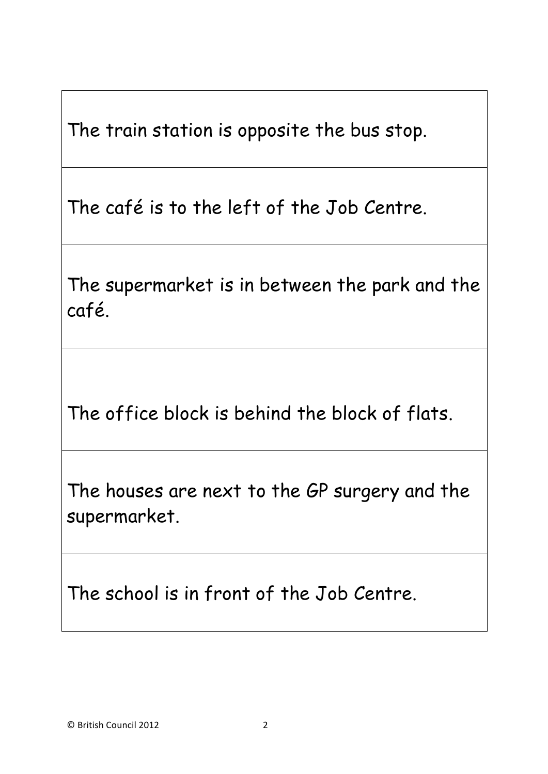The train station is opposite the bus stop.

The café is to the left of the Job Centre.

The supermarket is in between the park and the café.

The office block is behind the block of flats.

The houses are next to the GP surgery and the supermarket.

The school is in front of the Job Centre.